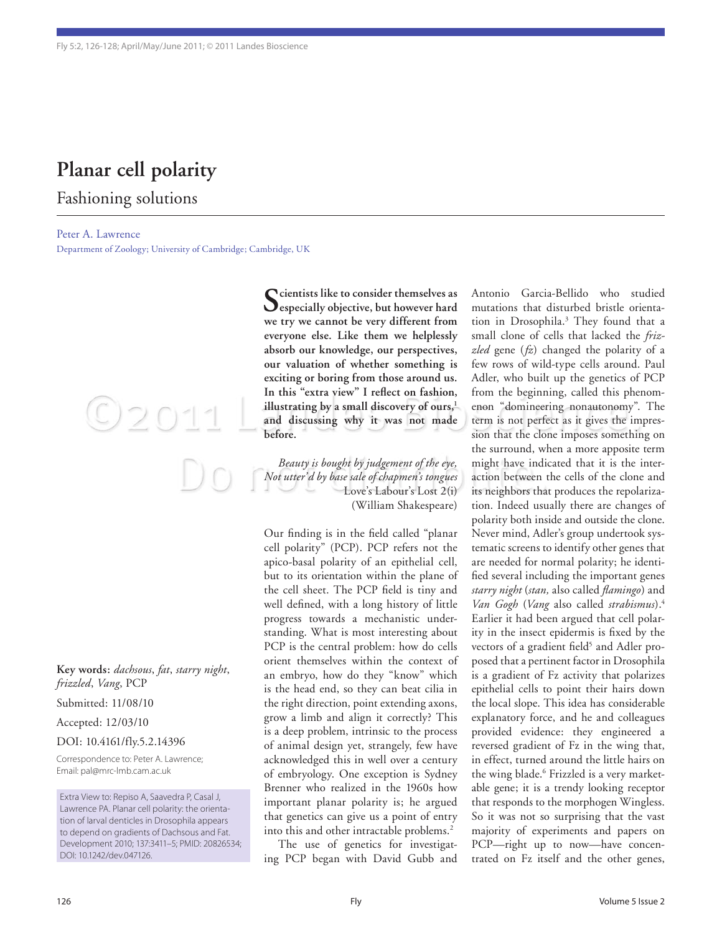## **Planar cell polarity**

### Fashioning solutions

Peter A. Lawrence

Department of Zoology; University of Cambridge; Cambridge, UK

**Key words:** *dachsous*, *fat*, *starry night*,

 $O2011$ 

*frizzled*, *Vang*, PCP

Submitted: 11/08/10

Accepted: 12/03/10

#### DOI: 10.4161/fly.5.2.14396

Correspondence to: Peter A. Lawrence; Email: pal@mrc-lmb.cam.ac.uk

Extra View to: Repiso A, Saavedra P, Casal J, Lawrence PA. Planar cell polarity: the orientation of larval denticles in Drosophila appears to depend on gradients of Dachsous and Fat. Development 2010; 137:3411–5; PMID: 20826534; DOI: 10.1242/dev.047126.

 $\bigcap$  cientists like to consider themselves as **especially objective, but however hard we try we cannot be very different from everyone else. Like them we helplessly absorb our knowledge, our perspectives, our valuation of whether something is exciting or boring from those around us. In this "extra view" I reflect on fashion,**  illustrating by a small discovery of ours,<sup>1</sup> **and discussing why it was not made before.**

Beauty is bought by judgement of the eye, might have indicated th<br>Not utter'd by base sale of chapmen's tongues action between the cells<br>Love's Labour's Lost 2(i) its neighbors that produc *Beauty is bought by judgement of the eye, Not utter'd by base sale of chapmen's tongues* Love's Labour's Lost 2(i) (William Shakespeare)

> Our finding is in the field called "planar cell polarity" (PCP). PCP refers not the apico-basal polarity of an epithelial cell, but to its orientation within the plane of the cell sheet. The PCP field is tiny and well defined, with a long history of little progress towards a mechanistic understanding. What is most interesting about PCP is the central problem: how do cells orient themselves within the context of an embryo, how do they "know" which is the head end, so they can beat cilia in the right direction, point extending axons, grow a limb and align it correctly? This is a deep problem, intrinsic to the process of animal design yet, strangely, few have acknowledged this in well over a century of embryology. One exception is Sydney Brenner who realized in the 1960s how important planar polarity is; he argued that genetics can give us a point of entry into this and other intractable problems.<sup>2</sup>

> The use of genetics for investigating PCP began with David Gubb and

Antonio Garcia-Bellido who studied mutations that disturbed bristle orientation in Drosophila.3 They found that a small clone of cells that lacked the *frizzled* gene (*fz*) changed the polarity of a few rows of wild-type cells around. Paul Adler, who built up the genetics of PCP from the beginning, called this phenomenon "domineering nonautonomy". The term is not perfect as it gives the impression that the clone imposes something on the surround, when a more apposite term might have indicated that it is the interaction between the cells of the clone and its neighbors that produces the repolarization. Indeed usually there are changes of polarity both inside and outside the clone. Never mind, Adler's group undertook systematic screens to identify other genes that are needed for normal polarity; he identified several including the important genes *starry night* (*stan,* also called *flamingo*) and *Van Gogh* (*Vang* also called *strabismus*).4 Earlier it had been argued that cell polarity in the insect epidermis is fixed by the vectors of a gradient field<sup>5</sup> and Adler proposed that a pertinent factor in Drosophila is a gradient of Fz activity that polarizes epithelial cells to point their hairs down the local slope. This idea has considerable explanatory force, and he and colleagues provided evidence: they engineered a reversed gradient of Fz in the wing that, in effect, turned around the little hairs on the wing blade.<sup>6</sup> Frizzled is a very marketable gene; it is a trendy looking receptor that responds to the morphogen Wingless. So it was not so surprising that the vast majority of experiments and papers on PCP-right up to now-have concentrated on Fz itself and the other genes,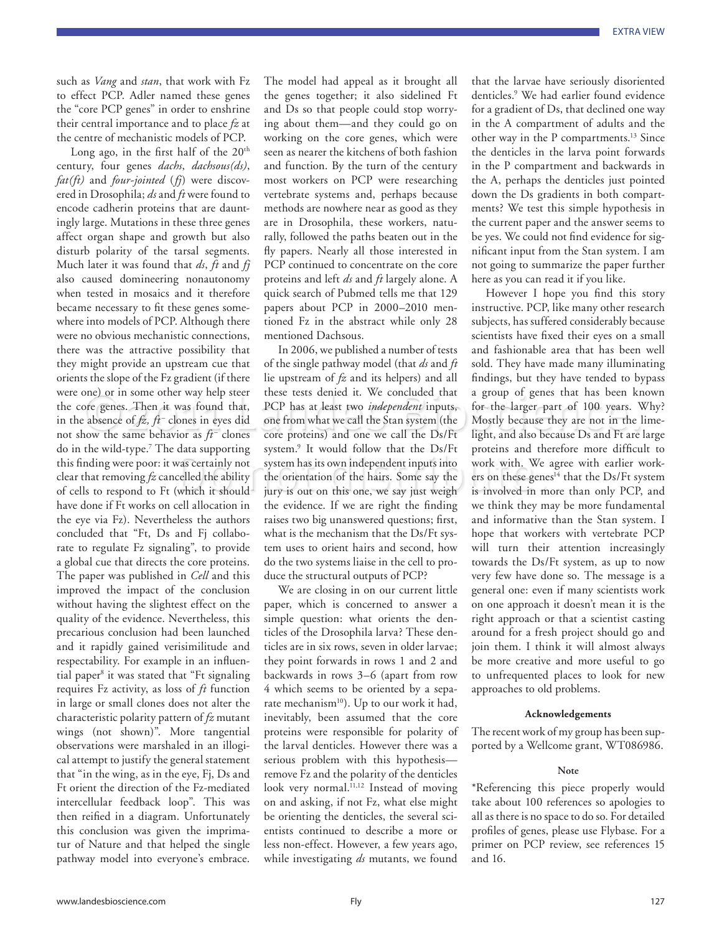such as *Vang* and *stan*, that work with Fz to effect PCP. Adler named these genes the "core PCP genes" in order to enshrine their central importance and to place *fz* at the centre of mechanistic models of PCP.

Long ago, in the first half of the  $20^{\text{th}}$ century, four genes *dachs*, *dachsous(ds)*, *fat(ft)* and *four-jointed* (*fj*) were discovered in Drosophila; *ds* and *ft* were found to encode cadherin proteins that are dauntingly large. Mutations in these three genes affect organ shape and growth but also disturb polarity of the tarsal segments. Much later it was found that *ds*, *ft* and *fj* also caused domineering nonautonomy when tested in mosaics and it therefore became necessary to fit these genes somewhere into models of PCP. Although there were no obvious mechanistic connections, there was the attractive possibility that they might provide an upstream cue that orients the slope of the Fz gradient (if there were one) or in some other way help steer the core genes. Then it was found that, in the absence of *fz*, *ft*<sup>-</sup> clones in eyes did not show the same behavior as  $ft^-$  clones do in the wild-type.7 The data supporting this finding were poor: it was certainly not clear that removing *fz* cancelled the ability of cells to respond to Ft (which it should have done if Ft works on cell allocation in the eye via Fz). Nevertheless the authors concluded that "Ft, Ds and Fj collaborate to regulate Fz signaling", to provide a global cue that directs the core proteins. The paper was published in *Cell* and this improved the impact of the conclusion without having the slightest effect on the quality of the evidence. Nevertheless, this precarious conclusion had been launched and it rapidly gained verisimilitude and respectability. For example in an influential paper<sup>8</sup> it was stated that "Ft signaling requires Fz activity, as loss of *ft* function in large or small clones does not alter the characteristic polarity pattern of *fz* mutant wings (not shown)". More tangential observations were marshaled in an illogical attempt to justify the general statement that "in the wing, as in the eye, Fj, Ds and Ft orient the direction of the Fz-mediated intercellular feedback loop". This was then reified in a diagram. Unfortunately this conclusion was given the imprimatur of Nature and that helped the single pathway model into everyone's embrace.

The model had appeal as it brought all the genes together; it also sidelined Ft and Ds so that people could stop worrying about them—and they could go on working on the core genes, which were seen as nearer the kitchens of both fashion and function. By the turn of the century most workers on PCP were researching vertebrate systems and, perhaps because methods are nowhere near as good as they are in Drosophila, these workers, naturally, followed the paths beaten out in the fly papers. Nearly all those interested in PCP continued to concentrate on the core proteins and left *ds* and *ft* largely alone. A quick search of Pubmed tells me that 129 papers about PCP in 2000–2010 mentioned Fz in the abstract while only 28 mentioned Dachsous.

one) or in some other way help steer these tests denied it. We concluded that a group of genes that has been known<br>ore genes. Then it was found that, PCP has at least two *independent* inputs, for the larger part of 100 y and supporting system. It would follow that the DS/11 proteins and therefore is<br>vas certainly not system has its own independent inputs into work with. We agree w<br>celled the ability the orientation of the hairs. Some say t In 2006, we published a number of tests of the single pathway model (that *ds* and *ft* lie upstream of *fz* and its helpers) and all these tests denied it. We concluded that PCP has at least two *independent* inputs, one from what we call the Stan system (the core proteins) and one we call the Ds/Ft system.9 It would follow that the Ds/Ft system has its own independent inputs into the orientation of the hairs. Some say the the evidence. If we are right the finding raises two big unanswered questions; first, what is the mechanism that the Ds/Ft system uses to orient hairs and second, how do the two systems liaise in the cell to produce the structural outputs of PCP?

> We are closing in on our current little paper, which is concerned to answer a simple question: what orients the denticles of the Drosophila larva? These denticles are in six rows, seven in older larvae; they point forwards in rows 1 and 2 and backwards in rows 3–6 (apart from row 4 which seems to be oriented by a separate mechanism<sup>10</sup>). Up to our work it had, inevitably, been assumed that the core proteins were responsible for polarity of the larval denticles. However there was a serious problem with this hypothesis remove Fz and the polarity of the denticles look very normal.<sup>11,12</sup> Instead of moving on and asking, if not Fz, what else might be orienting the denticles, the several scientists continued to describe a more or less non-effect. However, a few years ago, while investigating *ds* mutants, we found

that the larvae have seriously disoriented denticles.9 We had earlier found evidence for a gradient of Ds, that declined one way in the A compartment of adults and the other way in the P compartments.13 Since the denticles in the larva point forwards in the P compartment and backwards in the A, perhaps the denticles just pointed down the Ds gradients in both compartments? We test this simple hypothesis in the current paper and the answer seems to be yes. We could not find evidence for significant input from the Stan system. I am not going to summarize the paper further here as you can read it if you like.

However I hope you find this story instructive. PCP, like many other research subjects, has suffered considerably because scientists have fixed their eyes on a small and fashionable area that has been well sold. They have made many illuminating findings, but they have tended to bypass a group of genes that has been known for the larger part of 100 years. Why? Mostly because they are not in the limelight, and also because Ds and Ft are large proteins and therefore more difficult to work with. We agree with earlier workers on these genes<sup>14</sup> that the Ds/Ft system is involved in more than only PCP, and we think they may be more fundamental and informative than the Stan system. I hope that workers with vertebrate PCP will turn their attention increasingly towards the Ds/Ft system, as up to now very few have done so. The message is a general one: even if many scientists work on one approach it doesn't mean it is the right approach or that a scientist casting around for a fresh project should go and join them. I think it will almost always be more creative and more useful to go to unfrequented places to look for new approaches to old problems.

#### **Acknowledgements**

The recent work of my group has been supported by a Wellcome grant, WT086986.

#### **Note**

\*Referencing this piece properly would take about 100 references so apologies to all as there is no space to do so. For detailed profiles of genes, please use Flybase. For a primer on PCP review, see references 15 and 16.